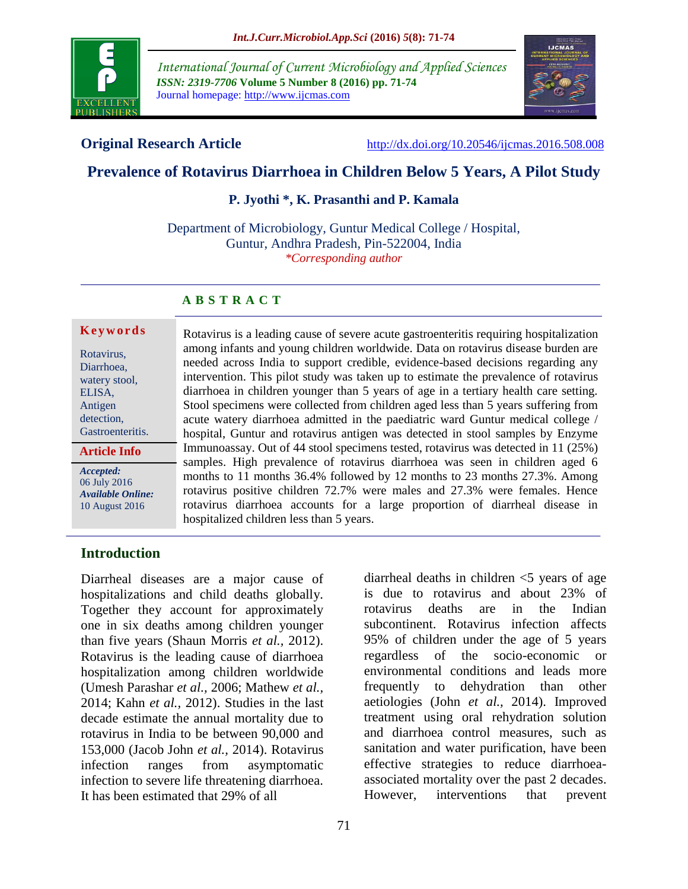

*International Journal of Current Microbiology and Applied Sciences ISSN: 2319-7706* **Volume 5 Number 8 (2016) pp. 71-74** Journal homepage: http://www.ijcmas.com



**Original Research Article** <http://dx.doi.org/10.20546/ijcmas.2016.508.008>

# **Prevalence of Rotavirus Diarrhoea in Children Below 5 Years, A Pilot Study**

#### **P. Jyothi \*, K. Prasanthi and P. Kamala**

Department of Microbiology, Guntur Medical College / Hospital, Guntur, Andhra Pradesh, Pin-522004, India *\*Corresponding author*

## **A B S T R A C T**

#### **Ke y w o r d s**

Rotavirus, Diarrhoea, watery stool, ELISA, Antigen detection, Gastroenteritis.

**Article Info**

*Accepted:*  06 July 2016 *Available Online:* 10 August 2016

Rotavirus is a leading cause of severe acute gastroenteritis requiring hospitalization among infants and young children worldwide. Data on rotavirus disease burden are needed across India to support credible, evidence-based decisions regarding any intervention. This pilot study was taken up to estimate the prevalence of rotavirus diarrhoea in children younger than 5 years of age in a tertiary health care setting. Stool specimens were collected from children aged less than 5 years suffering from acute watery diarrhoea admitted in the paediatric ward Guntur medical college / hospital, Guntur and rotavirus antigen was detected in stool samples by Enzyme Immunoassay. Out of 44 stool specimens tested, rotavirus was detected in 11 (25%) samples. High prevalence of rotavirus diarrhoea was seen in children aged 6 months to 11 months 36.4% followed by 12 months to 23 months 27.3%. Among rotavirus positive children 72.7% were males and 27.3% were females. Hence rotavirus diarrhoea accounts for a large proportion of diarrheal disease in hospitalized children less than 5 years.

## **Introduction**

Diarrheal diseases are a major cause of hospitalizations and child deaths globally. Together they account for approximately one in six deaths among children younger than five years (Shaun Morris *et al.,* 2012). Rotavirus is the leading cause of diarrhoea hospitalization among children worldwide (Umesh Parashar *et al.,* 2006; Mathew *et al.,* 2014; Kahn *et al.,* 2012). Studies in the last decade estimate the annual mortality due to rotavirus in India to be between 90,000 and 153,000 [\(Jacob John](http://www.sciencedirect.com/science/article/pii/S0264410X14003429) *et al.,* 2014). Rotavirus infection ranges from asymptomatic infection to severe life threatening diarrhoea. It has been estimated that 29% of all

diarrheal deaths in children  $\leq$  years of age is due to rotavirus and about 23% of rotavirus deaths are in the Indian subcontinent. Rotavirus infection affects 95% of children under the age of 5 years regardless of the socio-economic or environmental conditions and leads more frequently to dehydration than other aetiologies [\(John](http://www.ncbi.nlm.nih.gov/pubmed/?term=John%20B%5Bauth%5D) *et al.,* 2014). Improved treatment using oral rehydration solution and diarrhoea control measures, such as sanitation and water purification, have been effective strategies to reduce diarrhoeaassociated mortality over the past 2 decades. However, interventions that prevent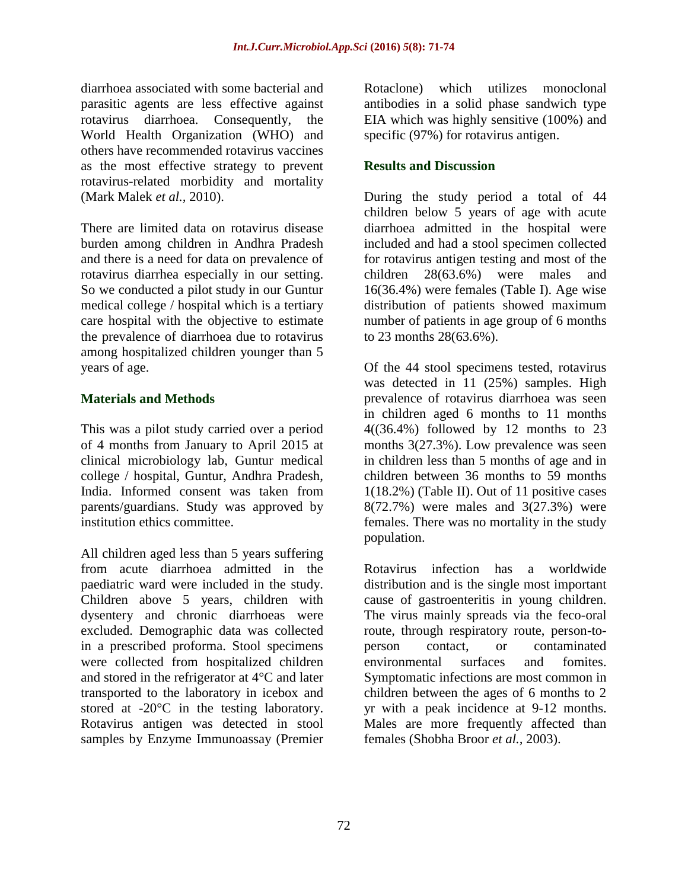diarrhoea associated with some bacterial and parasitic agents are less effective against rotavirus diarrhoea. Consequently, the World Health Organization (WHO) and others have recommended rotavirus vaccines as the most effective strategy to prevent rotavirus-related morbidity and mortality (Mark Malek *et al.,* 2010).

There are limited data on rotavirus disease burden among children in Andhra Pradesh and there is a need for data on prevalence of rotavirus diarrhea especially in our setting. So we conducted a pilot study in our Guntur medical college / hospital which is a tertiary care hospital with the objective to estimate the prevalence of diarrhoea due to rotavirus among hospitalized children younger than 5 years of age.

#### **Materials and Methods**

This was a pilot study carried over a period of 4 months from January to April 2015 at clinical microbiology lab, Guntur medical college / hospital, Guntur, Andhra Pradesh, India. Informed consent was taken from parents/guardians. Study was approved by institution ethics committee.

All children aged less than 5 years suffering from acute diarrhoea admitted in the paediatric ward were included in the study. Children above 5 years, children with dysentery and chronic diarrhoeas were excluded. Demographic data was collected in a prescribed proforma. Stool specimens were collected from hospitalized children and stored in the refrigerator at 4°C and later transported to the laboratory in icebox and stored at -20°C in the testing laboratory. Rotavirus antigen was detected in stool samples by Enzyme Immunoassay (Premier

Rotaclone) which utilizes monoclonal antibodies in a solid phase sandwich type EIA which was highly sensitive (100%) and specific (97%) for rotavirus antigen.

#### **Results and Discussion**

During the study period a total of 44 children below 5 years of age with acute diarrhoea admitted in the hospital were included and had a stool specimen collected for rotavirus antigen testing and most of the children 28(63.6%) were males and 16(36.4%) were females (Table I). Age wise distribution of patients showed maximum number of patients in age group of 6 months to 23 months 28(63.6%).

Of the 44 stool specimens tested, rotavirus was detected in 11 (25%) samples. High prevalence of rotavirus diarrhoea was seen in children aged 6 months to 11 months 4((36.4%) followed by 12 months to 23 months 3(27.3%). Low prevalence was seen in children less than 5 months of age and in children between 36 months to 59 months 1(18.2%) (Table II). Out of 11 positive cases 8(72.7%) were males and 3(27.3%) were females. There was no mortality in the study population.

Rotavirus infection has a worldwide distribution and is the single most important cause of gastroenteritis in young children. The virus mainly spreads via the feco-oral route, through respiratory route, person-toperson contact, or contaminated environmental surfaces and fomites. Symptomatic infections are most common in children between the ages of 6 months to 2 yr with a peak incidence at 9-12 months. Males are more frequently affected than females (Shobha Broor *et al.,* 2003).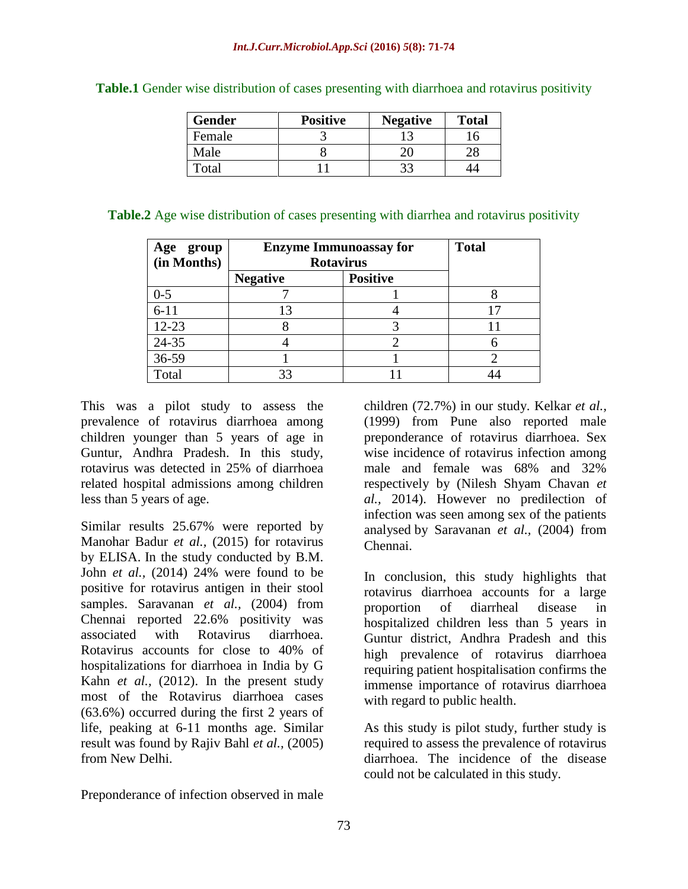| <b>Gender</b> | <b>Positive</b> | <b>Negative</b> | <b>Total</b> |
|---------------|-----------------|-----------------|--------------|
| Female        |                 |                 |              |
| Male          |                 |                 |              |
| Total         |                 | 33              |              |

**Table.1** Gender wise distribution of cases presenting with diarrhoea and rotavirus positivity

| Table.2 Age wise distribution of cases presenting with diarrhea and rotavirus positivity |  |  |  |  |  |  |
|------------------------------------------------------------------------------------------|--|--|--|--|--|--|
|------------------------------------------------------------------------------------------|--|--|--|--|--|--|

| Age<br>group | <b>Enzyme Immunoassay for</b> | <b>Total</b>    |  |
|--------------|-------------------------------|-----------------|--|
| (in Months)  | <b>Rotavirus</b>              |                 |  |
|              | <b>Negative</b>               | <b>Positive</b> |  |
| $0 - 5$      |                               |                 |  |
| $6 - 11$     | 13                            |                 |  |
| $12 - 23$    |                               |                 |  |
| 24-35        |                               |                 |  |
| 36-59        |                               |                 |  |
| Total        | 33                            |                 |  |
|              |                               |                 |  |

This was a pilot study to assess the prevalence of rotavirus diarrhoea among children younger than 5 years of age in Guntur, Andhra Pradesh. In this study, rotavirus was detected in 25% of diarrhoea related hospital admissions among children less than 5 years of age.

Similar results 25.67% were reported by [Manohar Badur](http://www.jdrntruhs.org/searchresult.asp?search=&author=Manohar+Badur&journal=Y&but_search=Search&entries=10&pg=1&s=0) *et al.,* (2015) for rotavirus by ELISA. In the study conducted by [B.M.](http://www.ncbi.nlm.nih.gov/pubmed/?term=John%20B%5Bauth%5D)  [John](http://www.ncbi.nlm.nih.gov/pubmed/?term=John%20B%5Bauth%5D) *et al.,* (2014) 24% were found to be positive for rotavirus antigen in their stool samples. Saravanan *et al.*, (2004) from Chennai reported 22.6% positivity was associated with Rotavirus diarrhoea. Rotavirus accounts for close to 40% of hospitalizations for diarrhoea in India by G Kahn *et al.,* (2012). In the present study most of the Rotavirus diarrhoea cases (63.6%) occurred during the first 2 years of life, peaking at 6-11 months age. Similar result was found by Rajiv Bahl *et al.,* (2005) from New Delhi.

Preponderance of infection observed in male

children (72.7%) in our study. Kelkar *et al.,* (1999) from Pune also reported male preponderance of rotavirus diarrhoea. Sex wise incidence of rotavirus infection among male and female was 68% and 32% respectively by (Nilesh Shyam Chavan *et al.,* 2014). However no predilection of infection was seen among sex of the patients analysed by Saravanan *et al.,* (2004) from Chennai.

In conclusion, this study highlights that rotavirus diarrhoea accounts for a large proportion of diarrheal disease in hospitalized children less than 5 years in Guntur district, Andhra Pradesh and this high prevalence of rotavirus diarrhoea requiring patient hospitalisation confirms the immense importance of rotavirus diarrhoea with regard to public health.

As this study is pilot study, further study is required to assess the prevalence of rotavirus diarrhoea. The incidence of the disease could not be calculated in this study.